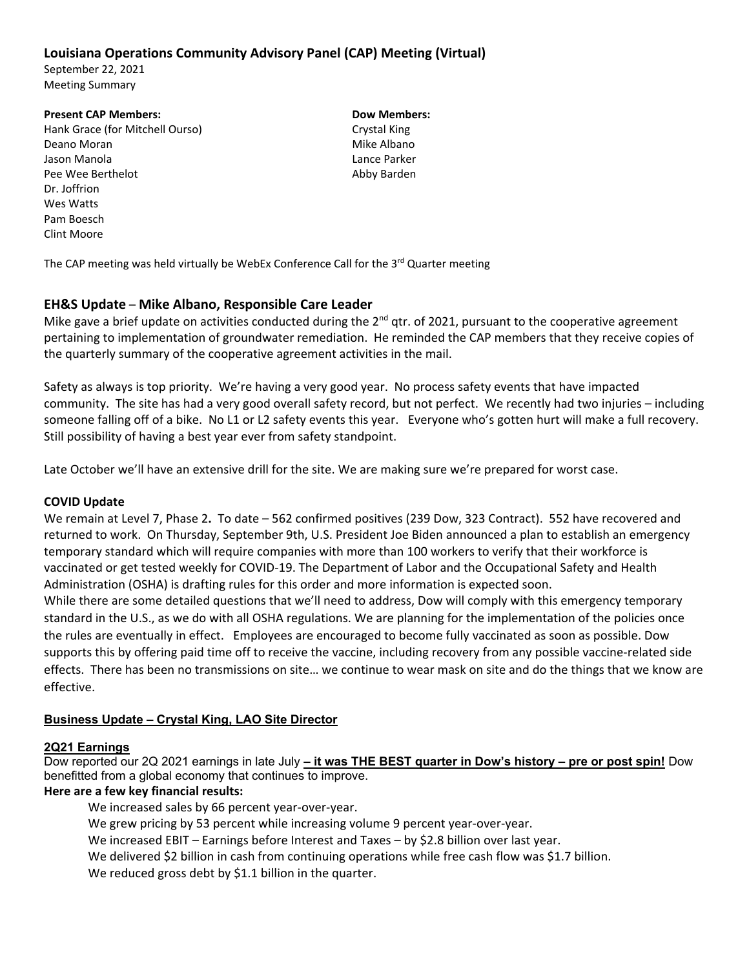# **Louisiana Operations Community Advisory Panel (CAP) Meeting (Virtual)**

September 22, 2021 Meeting Summary

#### **Present CAP Members: Dow Members:**

Hank Grace (for Mitchell Ourso) Crystal King Deano Moran Mike Albano Jason Manola Lance Parker Pee Wee Berthelot **Canadian Control Control Control Control Control Control Control Control Control Control Control Control Control Control Control Control Control Control Control Control Control Control Control Control Co** Dr. Joffrion Wes Watts Pam Boesch Clint Moore

The CAP meeting was held virtually be WebEx Conference Call for the  $3<sup>rd</sup>$  Quarter meeting

### **EH&S Update** – **Mike Albano, Responsible Care Leader**

Mike gave a brief update on activities conducted during the  $2^{nd}$  qtr. of 2021, pursuant to the cooperative agreement pertaining to implementation of groundwater remediation. He reminded the CAP members that they receive copies of the quarterly summary of the cooperative agreement activities in the mail.

Safety as always is top priority. We're having a very good year. No process safety events that have impacted community. The site has had a very good overall safety record, but not perfect. We recently had two injuries – including someone falling off of a bike. No L1 or L2 safety events this year. Everyone who's gotten hurt will make a full recovery. Still possibility of having a best year ever from safety standpoint.

Late October we'll have an extensive drill for the site. We are making sure we're prepared for worst case.

### **COVID Update**

We remain at Level 7, Phase 2**.** To date – 562 confirmed positives (239 Dow, 323 Contract). 552 have recovered and returned to work. On Thursday, September 9th, U.S. President Joe Biden announced a plan to establish an emergency temporary standard which will require companies with more than 100 workers to verify that their workforce is vaccinated or get tested weekly for COVID‐19. The Department of Labor and the Occupational Safety and Health Administration (OSHA) is drafting rules for this order and more information is expected soon.

While there are some detailed questions that we'll need to address, Dow will comply with this emergency temporary standard in the U.S., as we do with all OSHA regulations. We are planning for the implementation of the policies once the rules are eventually in effect. Employees are encouraged to become fully vaccinated as soon as possible. Dow supports this by offering paid time off to receive the vaccine, including recovery from any possible vaccine-related side effects. There has been no transmissions on site… we continue to wear mask on site and do the things that we know are effective.

### **Business Update – Crystal King, LAO Site Director**

### **2Q21 Earnings**

Dow reported our 2Q 2021 earnings in late July **– it was THE BEST quarter in Dow's history – pre or post spin!** Dow benefitted from a global economy that continues to improve.

### **Here are a few key financial results:**

We increased sales by 66 percent year-over-year.

We grew pricing by 53 percent while increasing volume 9 percent year-over-year.

We increased EBIT – Earnings before Interest and Taxes – by \$2.8 billion over last year.

We delivered \$2 billion in cash from continuing operations while free cash flow was \$1.7 billion.

We reduced gross debt by \$1.1 billion in the quarter.